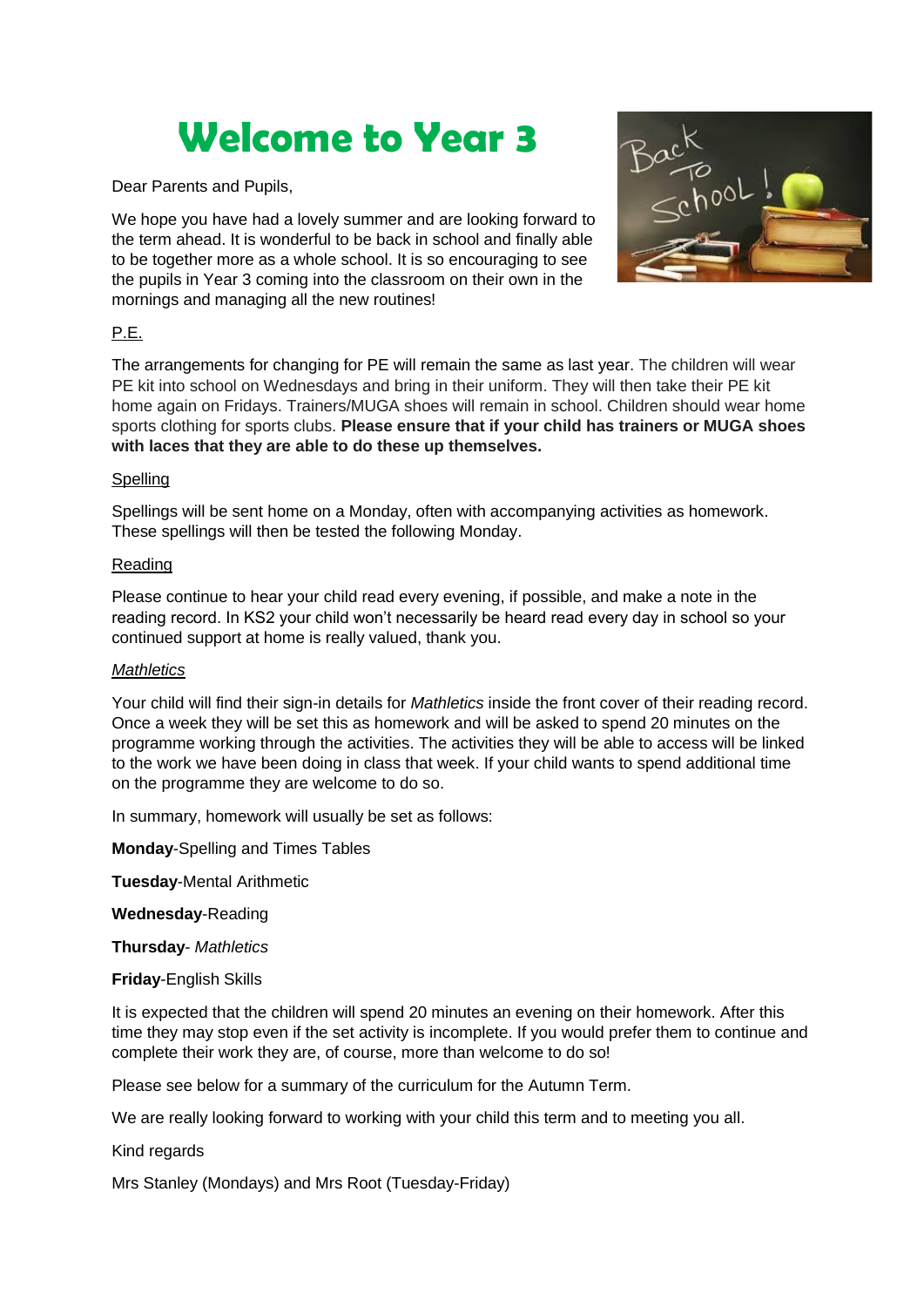# **Welcome to Year 3**

Dear Parents and Pupils,

We hope you have had a lovely summer and are looking forward to the term ahead. It is wonderful to be back in school and finally able to be together more as a whole school. It is so encouraging to see the pupils in Year 3 coming into the classroom on their own in the mornings and managing all the new routines!



## P.E.

The arrangements for changing for PE will remain the same as last year. The children will wear PE kit into school on Wednesdays and bring in their uniform. They will then take their PE kit home again on Fridays. Trainers/MUGA shoes will remain in school. Children should wear home sports clothing for sports clubs. **Please ensure that if your child has trainers or MUGA shoes with laces that they are able to do these up themselves.**

### Spelling

Spellings will be sent home on a Monday, often with accompanying activities as homework. These spellings will then be tested the following Monday.

#### Reading

Please continue to hear your child read every evening, if possible, and make a note in the reading record. In KS2 your child won't necessarily be heard read every day in school so your continued support at home is really valued, thank you.

#### *Mathletics*

Your child will find their sign-in details for *Mathletics* inside the front cover of their reading record. Once a week they will be set this as homework and will be asked to spend 20 minutes on the programme working through the activities. The activities they will be able to access will be linked to the work we have been doing in class that week. If your child wants to spend additional time on the programme they are welcome to do so.

In summary, homework will usually be set as follows:

**Monday**-Spelling and Times Tables

**Tuesday**-Mental Arithmetic

**Wednesday**-Reading

**Thursday**- *Mathletics*

**Friday**-English Skills

It is expected that the children will spend 20 minutes an evening on their homework. After this time they may stop even if the set activity is incomplete. If you would prefer them to continue and complete their work they are, of course, more than welcome to do so!

Please see below for a summary of the curriculum for the Autumn Term.

We are really looking forward to working with your child this term and to meeting you all.

Kind regards

Mrs Stanley (Mondays) and Mrs Root (Tuesday-Friday)